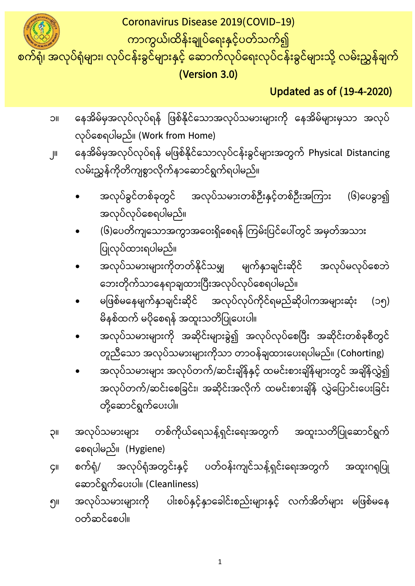၅။ အလုပ်သမားများကို ပါးစပ်နှင့်နှာခေါင်းစည်းများနှင့် လက်အိတ်များ မဖြစ်မနေ ဝတ်ဆင်စေပါ။

ဆောင်ရွက်ပေးပါ။ (Cleanliness)

- တစ်ကိုယ်ရေသန့်ရှင်းရေးအတွက် အထူးသတိပြုဆောင်ရွက် ၃။ စေရပါမည်။ (Hygiene) ၄။ စက်ရုံ/ အလုပ်ရုံအတွင်းနှင့် ပတ်ဝန်းကျင်သန့်ရှင်းရေးအတွက် အထူးဂရုပြု
- အလုပ်သမားများ အလုပ်တက်/ဆင်းချိန်နှင့် ထမင်းစားချိန်များတွင် အချိန်လွှဲ၍ အလုပ်တက်/ဆင်းစေခြင်း၊ အဆိုင်းအလိုက် ထမင်းစားချိန် လွှဲပြောင်းပေးခြင်း တို့ဆောင်ရွက်ပေးပါ။
- အလုပ်သမားများကို အဆိုင်းများခွဲ၍ အလုပ်လုပ်စေပြီး အဆိုင်းတစ်ခုစီတွင် တူညီသော အလုပ်သမားများကိုသာ တာဝန်ချထားပေးရပါမည်။ (Cohorting)
- မဖြစ်မနေမျက်နှာချင်းဆိုင် အလုပ်လုပ်ကိုင်ရမည်ဆိုပါကအများဆုံး (၁၅) မိနစ်ထက် မပိုစေရန် အထူးသတိပြုပေးပါ။
- ပြုလုပ်ထားရပါမည်။ အလုပ်သမားများကိုတတ်နိုင်သမျှ မျက်နှာချင်းဆိုင် အလုပ်မလုပ်စေဘဲ ဘေးတိုက်သာနေရာချထားပြီးအလုပ်လုပ်စေရပါမည်။
- အလုပ်လုပ်စေရပါမည်။ (၆)ပေတိကျသောအကွာအဝေးရှိစေရန် ကြမ်းပြင်ပေါ်တွင် အမှတ်အသား
- အလုပ်ခွင်တစ်ခုတွင် အလုပ်သမားတစ်ဦးနှင့်တစ်ဦးအကြား (၆)ပေခွာ၍
- လုပ်စေရပါမည်။ (Work from Home) ၂။ နေအိမ်မှအလုပ်လုပ်ရန် မဖြစ်နိုင်သောလုပ်ငန်းခွင်များအတွက် Physical Distancing လမ်းညွှန်ကိုတိကျစွာလိုက်နာဆောင်ရွက်ရပါမည်။
- ၁။ နေအိမ်မှအလုပ်လုပ်ရန် ဖြစ်နိုင်သောအလုပ်သမားများကို နေအိမ်များမှသာ အလုပ်

 **Updated as of (19-4-2020)**

Coronavirus Disease 2019(COVID-19) ကာကွယ်၊ထိန်းချုပ်ေရးနှင့်ပတ်သက်၍ စက်ရုံ၊ အလုပ်ရုံများ၊ လုပ်ငန်းခွင်များနှင့် ေဆာက်လုပ်ေရးလုပ်ငန်းခွင်များသို့ လမ်းညွှန်ချက် **(Version 3.0)**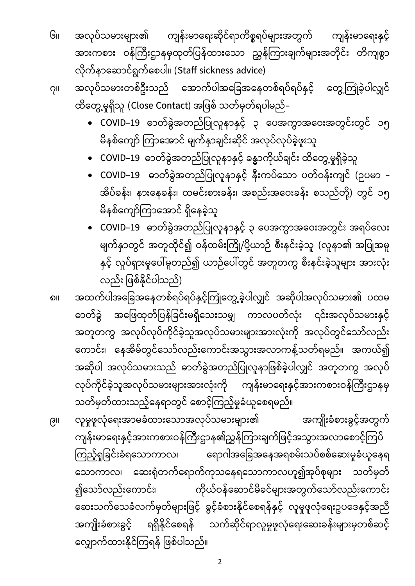- ကျန်းမာရေးနှင့် ၆။ အလုပ်သမားများ၏ ကျန်းမာရေးဆိုင်ရာကိစ္စရပ်များအတွက် အားကစား ဝန်ကြီးဌာနမှထုတ်ပြန်ထားသော ညွှန်ကြားချက်များအတိုင်း တိကျစွာ လိုက်နာဆောင်ရွက်စေပါ။ (Staff sickness advice)
- ၇။ အလုပ်သမားတစ်ဦးသည် အောက်ပါအခြေအနေတစ်ရပ်ရပ်နှင့် တွေ့ကြုံခဲ့ပါလျှင် ထိတွေ့မှုရှိသူ (Close Contact) အဖြစ် သတ်မှတ်ရပါမည်–
	- COVID–19 ဓာတ်ခွဲအတည်ပြုလူနာနှင့် ၃ ပေအကွာအဝေးအတွင်းတွင် ၁၅ မိနစ်ကျော် ကြာအောင် မျက်နှာချင်းဆိုင် အလုပ်လုပ်ခဲ့ဖူးသူ
	- COVID–19 ဓာတ်ခွဲအတည်ပြုလူနာနှင့် ခန္ဓာကိုယ်ချင်း ထိတွေ့မှုရှိခဲ့သူ
		- COVID–19 ဓာတ်ခွဲအတည်ပြုလူနာနှင့် နီးကပ်သော ပတ်ဝန်းကျင် (ဉပမာ အိပ်ခန်း၊ နားနေခန်း၊ ထမင်းစားခန်း၊ အစည်းအဝေးခန်း စသည်တို့) တွင် ၁၅ မိနစ်ကျော်ကြာအောင် ရှိနေခဲ့သူ
		- COVID–19 ဓာတ်ခွဲအတည်ပြုလူနာနှင့် ၃ ပေအကွာအဝေးအတွင်း အရပ်လေး မျက်နှာတွင် အတူထိုင်၍ ဝန်ထမ်းကြို/ပို့ယာဉ် စီးနင်းခဲ့သူ (လူနာ၏ အပြုအမူ နှင့် လူပ်ရှားမှုပေါ်မူတည်၍ ယာဉ်ပေါ်တွင် အတူတကွ စီးနင်းခဲ့သူများ အားလုံး လည်း ဖြစ်နိုင်ပါသည်)

၈။ အထက်ပါအခြေအနေတစ်ရပ်ရပ်နှင့်ကြုံတွေ့ခဲ့ပါလျှင် အဆိုပါအလုပ်သမား၏ ပထမ ဓာတ်ခွဲ အဖြေထုတ်ပြန်ခြင်းမရှိသေးသမျှ ကာလပတ်လုံး ၎င်းအလုပ်သမားနှင့် အတူတကွ အလုပ်လုပ်ကိုင်ခဲ့သူအလုပ်သမားများအားလုံးကို အလုပ်တွင်သော်လည်း ကောင်း၊ နေအိမ်တွင်သော်လည်းကောင်းအသွားအလာကန့်သတ်ရမည်။ အကယ်၍ အဆိုပါ အလုပ်သမားသည် ဓာတ်ခွဲအတည်ပြုလူနာဖြစ်ခဲ့ပါလျှင် အတူတကွ အလုပ် လုပ်ကိုင်ခဲ့သူအလုပ်သမားများအားလုံးကို ကျန်းမာရေးနှင့်အားကစားဝန်ကြီးဌာနမှ သတ်မှတ်ထားသည့်နေရာတွင် စောင့်ကြည့်မှုခံယူစေရမည်။

၉။ လူမှုဖူလုံရေးအာမခံထားသောအလုပ်သမားများ၏ အကျိုးခံစားခွင့်အတွက် ကျန်းမာရေးနှင့်အားကစားဝန်ကြီးဌာန၏ညွှန်ကြားချက်ဖြင့်အသွားအလာစောင့်ကြပ် ကြည့်ရှုခြင်းခံရသောကာလ၊ ရောဂါအခြေအနေအရစမ်းသပ်စစ်ဆေးမှုခံယူနေရ သောကာလ၊ ဆေးရုံတက်ရောက်ကုသနေရသောကာလဟူ၍အုပ်စုများ သတ်မှတ် ၍သော်လည်းကောင်း၊ ကိုယ်ဝန်ဆောင်မိခင်များအတွက်သော်လည်းကောင်း ဆေးသက်သေခံလက်မှတ်များဖြင့် ခွင့်ခံစားနိုင်စေရန်နှင့် လူမှုဖူလုံရေးဥပဒေနှင့်အညီ အကျိုးခံစားခွင့် ရရှိနိုင်စေရန် သက်ဆိုင်ရာလူမှုဖူလုံရေးဆေးခန်းများမှတစ်ဆင့် လျှောက်ထားနိုင်ကြရန် ဖြစ်ပါသည်။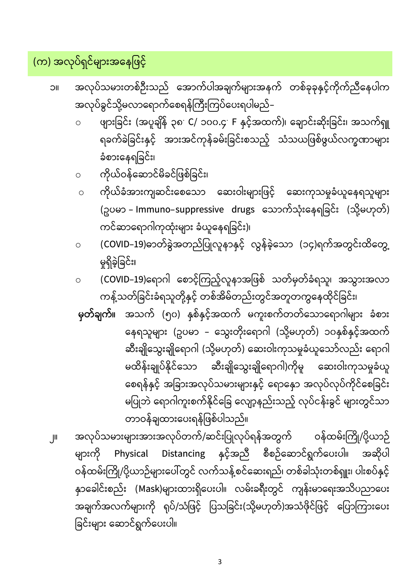၂။ အလုပ်သမားများအားအလုပ်တက်/ဆင်းပြုလုပ်ရန်အတွက် ဝန်ထမ်းကြို/ပို့ယာဉ် များကို Physical Distancing နှင့်အညီ စီစဉ်ဆောင်ရွက်ပေးပါ။ အဆိုပါ ဝန်ထမ်းကြို/ပို့ယာဉ်များပေါ်တွင် လက်သန့်စင်ဆေးရည်၊ တစ်ခါသုံးတစ်ရှူး၊ ပါးစပ်နှင့် နာခေါင်းစည်း (Mask)များထားရှိပေးပါ။ လမ်းခရီးတွင် ကျန်းမာရေးအသိပညာပေး အချက်အလက်များကို ရုပ်/သံဖြင့် ပြသခြင်း(သို့မဟုတ်)အသံဖိုင်ဖြင့် ပြောကြားပေး ခြင်းများ ဆောင်ရွက်ပေးပါ။

**မှတ်ချက်။** အသက် (၅၀) နှစ်နှင့်အထက် မကူးစက်တတ်သောရောဂါများ ခံစား နေရသူများ (ဥပမာ – သွေးတိုးရောဂါ (သို့မဟုတ်) ၁၀နှစ်နှင့်အထက် ဆီးချိုသွေးချိုရောဂါ (သို့မဟုတ်) ဆေးဝါးကုသမှုခံယူသော်လည်း ရောဂါ မထိန်းချုပ်နိုင်သော ဆီးချိုသွေးချိုရောဂါ)ကိုမူ ဆေးဝါးကုသမှုခံယူ စေရန်နှင့် အခြားအလုပ်သမားများနှင့် ရောနှော အလုပ်လုပ်ကိုင်စေခြင်း မပြုဘဲ ရောဂါကူးစက်နိုင်ခြေ လျော့နည်းသည့် လုပ်ငန်းခွင် များတွင်သာ တာဝန်ချထားပေးရန်ဖြစ်ပါသည်။

- ကန့်သတ်ခြင်းခံရသူတို့နှင့် တစ်အိမ်တည်းတွင်အတူတကွနေထိုင်ခြင်း၊
- မှုရှိခဲ့ခြင်း၊ ၀ (COVID–19)ရောဂါ စောင့်ကြည့်လူနာအဖြစ် သတ်မှတ်ခံရသူ၊ အသွားအလာ
- (ဥပမာ Immuno–suppressive drugs သောက်သုံးနေရခြင်း (သို့မဟုတ်) ကင်ဆာရောဂါကုထုံးများ ခံယူနေရခြင်း)၊ o <mark>(COVID–19)</mark>ဓာတ်ခွဲအတည်ပြုလူနာနှင့် လွန်ခဲ့သော (၁၄)ရက်အတွင်းထိတွေ့

ဆေးကုသမှုခံယူနေရသူများ

- ဝ ကိုယ်ဝန်ဆောင်မိခင်ဖြစ်ခြင်း၊ ဝ ကိုယ်ခံအားကျဆင်းစေသော ဆေးဝါးများဖြင့်
- ္ ဖျားခြင်း (အပူချိန် ၃၈: C/ ၁၀၀.၄: F နှင့်အထက်)၊ ချောင်းဆိုးခြင်း၊ အ ရခက်ခဲခြင်းနှင့် အားအင်ကုန်ခမ်းခြင်းစသည့် သံသယဖြစ်ဖွယ်လက္ခဏာများ ခံစားနေရခြင်း၊
- ၁။ အလုပ်သမားတစ်ဦးသည် အောက်ပါအချက်များအနက် တစ်ခုခုနှင့်ကိုက်ညီနေပါက အလုပ်ခွင်သို့မလာရောက်စေရန်ကြီးကြပ်ပေးရပါမည်–

(က) အလုပ်ရှင်များအနေဖြင့်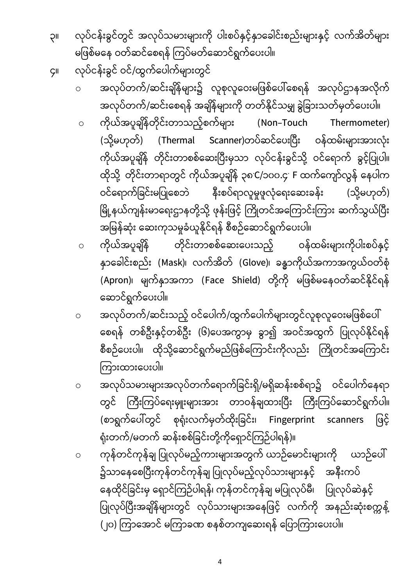၃။ လုပ်ငန်းခွင်တွင် အလုပ်သမားများကို ပါးစပ်နှင့်နှာခေါင်းစည်းများနှင့် လက်အိတ်များ မဖြစ်မနေ ဝတ်ဆင်စေရန် ကြပ်မတ်ဆောင်ရွက်ပေးပါ။

၄။ လုပ်ငန်းခွင် ဝင်/ထွက်ပေါက်များတွင်

- ဝ အလုပ်တက်/ဆင်းချိန်များ၌ လူစုလူဝေးမဖြစ်ပေါ်စေရန် အလုပ်ဌာနအလိုက် အလုပ်တက်/ဆင်းစေရန် အချိန်များကို တတ်နိုင်သမျှ ခွဲခြားသတ်မှတ်ပေးပါ။
- o (Non-Touch Thermometer) (သို့မဟုတ်) (Thermal Scanner)တပ်ဆင်ပေးပြီး ဝန်ထမ်းများအားလုံး ကိုယ်အပူချိန် တိုင်းတာစစ်ဆေးပြီးမှသာ လုပ်ငန်းခွင်သို့ ဝင်ရောက် ခွင့်ပြုပါ။ ထိုသို့ တိုင်းတာရာတွင် ကိုယ်အပူချိန် ၃၈ C/၁၀၀.၄ F ဝင်ရောက်ခြင်းမပြုစေဘဲ နီးစပ်ရာလူမှုဖူလုံရေးဆေးခန်း (သို့မဟုတ်) မြို့နယ်ကျန်းမာရေးဌာနတို့သို့ ဖုန်းဖြင့် ကြိုတင်အကြောင်းကြား ဆက်သွယ်ပြီး l အမြန်ဆုံး ဆေးကုသမှုခံယူနိုင်ရန် စီစဉ်ဆောင်ရွက်ပေးပါ။
- ၀ ကိုယ်အပူချိန် တိုင်းတာစစ်ဆေးပေးသည့် ဝန်ထမ်းများကိုပါးစပ်နှင့် နာခေါင်းစည်း (Mask)၊ လက်အိတ် (Glove)၊ ခန္ဓာကိုယ်အကာအကွယ်ဝတ်စုံ (Apron)၊ မျက်နှာအကာ (Face Shield) တို့ကို မဖြစ်မနေဝတ်ဆင်နိုင်ရန် ဆောင်ရွက်ပေးပါ။
- ၀ အလုပ်တက်/ဆင်းသည့် ဝင်ပေါက်/ထွက်ပေါက်များတွင်လူစုလူဝေးမဖြစ်ပေါ် စေရန် တစ်ဦးနှင့်တစ်ဦး (၆)ပေအကွာမှ ခွာ၍ အဝင်အထွက် ပြုလုပ်နိုင်ရန် စီစဉ်ပေးပါ။ ထိုသို့ဆောင်ရွက်မည်ဖြစ်ကြောင်းကိုလည်း ကြိုတင်အကြောင်း ကြားထားပေးပါ။
- ဝ အလုပ်သမားများအလုပ်တက်ရောက်ခြင်းရှိ/မရှိဆန်းစစ်ရာ၌ ဝင်ပေါက်နေရာ တွင် ကြီးကြပ်ရေးမှူးများအား တာဝန်ချထားပြီး ကြီးကြပ်ဆောင်ရွက်ပါ။ (စာရွက်ပေါ်တွင် စုရုံးလက်မှတ်ထိုးခြင်း၊ Fingerprint scanners ဖြင့် ရုံးတက်/မတက် ဆန်းစစ်ခြင်းတို့ကိုရှောင်ကြဉ်ပါရန်)။
- ဝ ကုန်တင်ကုန်ချ ပြုလုပ်မည့်ကားများအတွက် ယာဉ်မောင်းများကို ယာဉ်ပေါ် ၌သာနေစေပြီးကုန်တင်ကုန်ချ ပြုလုပ်မည့်လုပ်သားများနှင့် အနီးကပ် နေထိုင်ခြင်းမှ ရှောင်ကြဉ်ပါရန်၊ ကုန်တင်ကုန်ချ မပြုလုပ်မီ၊ ပြုလုပ်ဆဲနှင့် ပြုလုပ်ပြီးအချိန်များတွင် လုပ်သားများအနေဖြင့် လက်ကို အနည်းဆုံးစက္ကန့် I (၂၀) ကြာအောင် မကြာခဏ စနစ်တကျဆေးရန် ပြောကြားပေးပါ။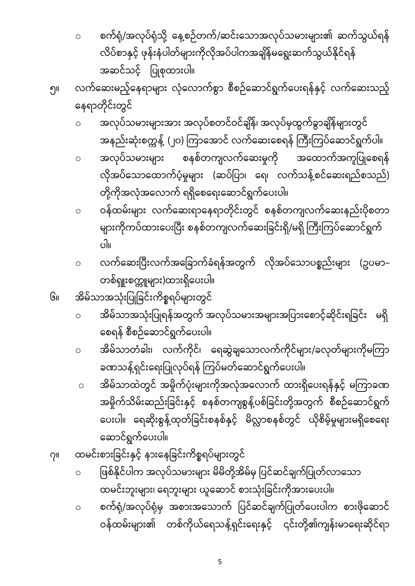ဝ စက်ရုံ/အလုပ်ရုံမှ အစားအသောက် ပြင်ဆင်ချက်ပြုတ်ပေးပါက စားဖိုဆောင် ဝန်ထမ်းများ၏ တစ်ကိုယ်ရေသန့်ရှင်းရေးနှင့် ၎င်းတို့၏ကျန်းမာရေးဆိုင်ရာ

- ၀ ဖြစ်နိုင်ပါက အလုပ်သမားများ မိမိတို့အိမ်မှ ပြင်ဆင်ချက်ပြုတ်လာသော ထမင်းဘူးများ၊ ရေဘူးများ ယူဆောင် စားသုံးခြင်းကိုအားပေးပါ။
- ၇။ ထမင်းစားခြင်းနှင့် နားနေခြင်းကိစ္စရပ်များတွင်
- ဝ အိမ်သာထဲတွင် အမှိုက်ပုံးများကိုအလုံအလောက် ထားရှိပေးရန်နှင့် မကြာခဏ အမှိုက်သိမ်းဆည်းခြင်းနှင့် စနစ်တကျစွန့်ပစ်ခြင်းတို့အတွက် စီစဉ်ဆောင်ရွက် ပေးပါ။ ရေဆိုးစွန့်ထုတ်ခြင်းစနစ်နှင့် မိလ္လာစနစ်တွင် ယိုစိမ့်မှုများမရှိစေရေး ဆောင်ရွက်ပေးပါ။
- ၀ အိမ်သာတံခါး၊ လက်ကိုင်၊ ရေဆွဲချသောလက်ကိုင်များ/ခလုတ်များကိုမကြာ ခဏသန့်ရှင်းရေးပြုလုပ်ရန် ကြပ်မတ်ဆောင်ရွက်ပေးပါ။
- ၀ အိမ်သာအသုံးပြုရန်အတွက် အလုပ်သမားအများအပြားစောင့်ဆိုင်းရခြင်း မရှိ စေရန် စီစဉ်ဆောင်ရွက်ပေးပါ။
- တစ်ရှူးစက္ကူများ)ထားရှိပေးပါ။ ၆။ အိမ်သာအသုံးပြုခြင်းကိစ္စရပ်များတွင်
- ။ ၀ လက်ဆေးပြီးလက်အခြောက်ခံရန်အတွက် လိုအပ်သောပစ္စည်းများ (ဥပမာ–
- တို့ကိုအလုံအလောက် ရရှိစေရေးဆောင်ရွက်ပေးပါ။ ၀ ဝန်ထမ်းများ လက်ဆေးရာနေရာတိုင်းတွင် စနစ်တကျလက်ဆေးနည်းပိုစတ<mark>ာ</mark> များကိုကပ်ထားပေးပြီး စနစ်တကျလက်ဆေးခြင်းရှိ/မရှိ ကြီးကြပ်ဆောင်ရွက်
- ၀ <mark>အလုပ်သမားများ</mark> စနစ်တကျလက်ဆေးမှုကို အထောက်အကူပြုစေရန် လိုအပ်သောထောက်ပံ့မှုများ (ဆပ်ပြာ၊ ရေ၊ လက်သန့်စင်ဆေးရည်စသည်)
- ဝ အလုပ်သမားများအား အလုပ်စတင်ဝင်ချိန်၊ အလုပ်မှထွက်ခွာချိန်များတွင် အနည်းဆုံးစက္ကနဲ့ (၂၀) ကြာအောင် လက်ဆေးစေရန် ကြီးကြပ်ဆောင်ရွက်ပါ။
- အဆင်သင့် ပြုစုထားပါ။ ၅။ လက်ဆေးမည့်နေရာများ လုံလောက်စွာ စီစဉ်ဆောင်ရွက်ပေးရန်နှင့် လက်ဆေးသည့် နေရာတိုင်းတွင်
- ဝ စက်ရုံ/အလုပ်ရုံသို့ နေ့စဉ်တက်/ဆင်းသောအလုပ်သမားများ၏ ဆက်သွယ်ရန် လိပ်စာနှင့် ဖုန်းနံပါတ်များကိုလိုအပ်ပါကအချိန်မရွေးဆက်သွယ်နိုင်ရန်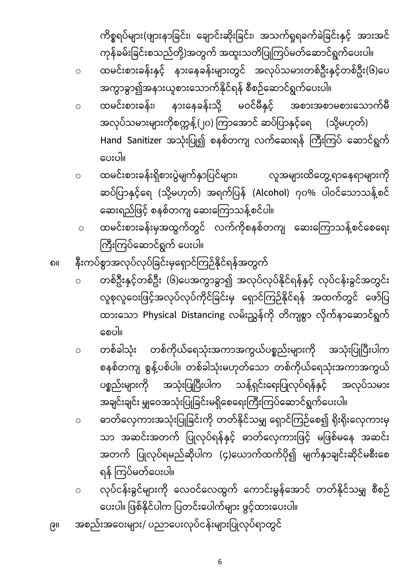6

၉။ အစည်းအဝေးများ/ ပညာပေးလုပ်ငန်းများပြုလုပ်ရာတွင်

ပစ္စည်းများကို

- ဝ လုပ်ငန်းခွင်များကို လေဝင်လေထွက် ကောင်းမွန်အောင် တတ်နိုင်သမျှ စီစဉ် ပေးပါ။ ဖြစ်နိုင်ပါက ပြတင်းပေါက်များ ဖွင့်ထားပေးပါ။
- အချင်းချင်း မျှဝေအသုံးပြုခြင်းမရှိစေရေးကြီးကြပ်ဆောင်ရွက်ပေးပါ။ ဝ ဓာတ်လှေကားအသုံးပြုခြင်းကို တတ်နိုင်သမျှ ရှောင်ကြဉ်စေ၍ ရိုးရိုးလှေကားမှ သာ အဆင်းအတက် ပြုလုပ်ရန်နှင့် ဓာတ်လှေကားဖြင့် မဖြစ်မနေ အဆင်း အတက် ပြုလုပ်ရမည်ဆိုပါက (၄)ယောက်ထက်ပို၍ မျက်နှာချင်းဆိုင်မစီးစေ ရန် ကြပ်မတ်ပေးပါ။
- လူစုလူဝေးဖြင့်အလုပ်လုပ်ကိုင်ခြင်းမှ ရှောင်ကြဉ်နိုင်ရန် အထက်တွင် ဖော်ပြ ထားသော Physical Distancing လမ်းညွှန်ကို တိကျစွာ လိုက်နာဆောင်ရွက် စေပါ။ ဝ တစ်ခါသုံး တစ်ကိုယ်ရေသုံးအကာအကွယ်ပစ္စည်းများကို အသုံးပြုပြီးပါက စနစ်တကျ စွန့်ပစ်ပါ။ တစ်ခါသုံးမဟုတ်သော တစ်ကိုယ်ရေသုံးအကာအကွယ်

သန့်ရှင်းရေးပြုလုပ်ရန်နှင့်

အလုပ်သမား

ကြီးကြပ်ဆောင်ရွက် ပေးပါ။ ၈။ နီးကပ်စွာအလုပ်လုပ်ခြင်းမှရှောင်ကြဉ်နိုင်ရန်အတွက် ဝ တစ်ဦးနှင့်တစ်ဦး (၆)ပေအကွာခွာ၍ အလုပ်လုပ်နိုင်ရန်နှင့် လုပ်ငန်းခွင်အတွင်း

အသုံးပြုပြီးပါက

- ဝ ထမင်းစားခန်းရှိစားပွဲမျက်နှာပြင်များ၊ လူအများထိတွေ့ရာနေရာများကို ဆပ်ပြာနှင့်ရေ (သို့မဟုတ်) အရက်ပြန် (Alcohol) ဂုဝ% ပါဝင်သောသန့်စင် ဆေးရည်ဖြင့် စနစ်တကျ ဆေးကြောသန့်စင်ပါ။ ဝ ထမင်းစားခန်းမှအထွက်တွင် လက်ကိုစနစ်တကျ ဆေးကြောသန့်စင်စေရေး
- ဝ ထမင်းစားခန်း၊ နားနေခန်းသို့ မဝင်မီနှင့် အစားအစာမစားသောက်မီ အလုပ်သမားများကိုစက္ကန့်(၂၀) ကြာအောင် ဆပ်ပြာနှင့်ရေ (သို့မဟုတ်) Hand Sanitizer အသုံးပြု၍ စနစ်တကျ လက်ဆေးရန် ကြီးကြပ် ဆောင်ရွက် ပေးပါ။
- ကုန်ခမ်းခြင်းစသည်တို့)အတွက် အထူးသတိပြုကြပ်မတ်ဆောင်ရွက်ပေးပါ။ ဝ ထမင်းစားခန်းနှင့် နားနေခန်းများတွင် အလုပ်သမားတစ်ဦးနှင့်တစ်ဦး(၆)ပေ အကွာခွာ၍အနားယူစားသောက်နိုင်ရန် စီစဉ်ဆောင်ရွက်ပေးပါ။

ကိစ္စရပ်များ(ဖျားနာခြင်း၊ ချောင်းဆိုးခြင်း၊ အသက်ရှုရခက်ခဲခြင်းနှင့် အားအင်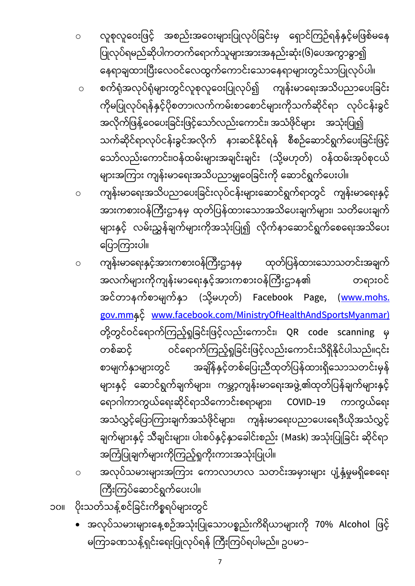- အလုပ်သမားများနေ့စဉ်အသုံးပြုသောပစ္စည်းကိရိယာများကို 70% Alcohol ဖြင့် မကြာခဏသန့်ရှင်းရေးပြုလုပ်ရန် ကြီးကြပ်ရပါမည်။ ဥပမာ–
- ၁၀။ ပိုးသတ်သန့်စင်ခြင်းကိစ္စရပ်များတွင်
- အကြံပြုချက်များကိုကြည့်ရှုကိုးကားအသုံးပြုပါ။ ဝ အလုပ်သမားများအကြား ကောလာဟလ သတင်းအမှားများ ပျံ့နှံ့မှုမရှိစေရေး ကြီးကြပ်ဆောင်ရွက်ပေးပါ။
- ဝ ကျန်းမာရေးနှင့်အားကစားဝန်ကြီးဌာနမှ ထုတ်ပြန်ထားသောသတင်းအချက် အလက်များကိုကျန်းမာရေးနှင့်အားကစားဝန်ကြီးဌာန၏ တရားဝင် အင်တာနက်စာမျက်နှာ (သို့မဟုတ်) Facebook Page, (<u>www.mohs.</u> <u>gov.mm</u>နှင့် [www.facebook.com/MinistryOfHealthAndSportsMyanmar\)](http://www.facebook.com/MinistryOfHealthAnd%20SportsMyanmar) တို့တွင်ဝင်ရောက်ကြည့်ရှုခြင်းဖြင့်လည်းကောင်း၊ QR code scanning မှ တစ်ဆင့် ဝင်ရောက်ကြည့်ရှုခြင်းဖြင့်လည်းကောင်းသိရှိနိုင်ပါသည်။၎င်း စာမျက်နှာများတွင် အချိန်နှင့်တစ်ပြေးညီထုတ်ပြန်ထားရှိသောသတင်းမှန် များနှင့် ဆောင်ရွက်ချက်များ၊ ကမ္ဘာ့ကျန်းမာရေးအဖွဲ့၏ထုတ်ပြန်ချက်များနှင့် ရောဂါကာကွယ်ရေးဆိုင်ရာသိကောင်းစရာများ၊ COVID–19 ကာကွယ်ရေး အသံလွှင့်ပြောကြားချက်အသံဖိုင်များ၊ ကျန်းမာရေးပညာပေးရေဒီယိုအသံလွှင့် ချက်များနှင့် သီချင်းများ၊ ပါးစပ်နှင့်နှာခေါင်းစည်း (Mask) အသုံးပြုခြင်း ဆိုင်ရာ
- ၀ ကျန်းမာရေးအသိပညာပေးခြင်းလုပ်ငန်းများဆောင်ရွက်ရာတွင် ကျန်းမာရေးနှင့် အားကစားဝန်ကြီးဌာနမှ ထုတ်ပြန်ထားသောအသိပေးချက်များ၊ သတိပေးချက် များနှင့် လမ်းညွှန်ချက်များကိုအသုံးပြု၍ လိုက်နာဆောင်ရွက်စေရေးအသိပေး ပြောကြားပါ။
- ဝ စက်ရုံအလုပ်ရုံများတွင်လူစုလူဝေးပြုလုပ်၍ ကျန်းမာရေးအသိပညာပေးခြင်း ကိုမပြုလုပ်ရန်နှင့်ပိုစတာ၊လက်ကမ်းစာစောင်များကိုသက်ဆိုင်ရာ လုပ်ငန်းခွင် အလိုက်ဖြန့်ဝေပေးခြင်းဖြင့်သော်လည်းကောင်း၊ အသံဖိုင်များ အသုံးပြု၍ သက်ဆိုင်ရာလုပ်ငန်းခွင်အလိုက် နားဆင်နိုင်ရန် စီစဉ်ဆောင်ရွက်ပေးခြင်းဖြင့် သော်လည်းကောင်း၊ဝန်ထမ်းများအချင်းချင်း (သို့မဟုတ်) ဝန်ထမ်းအုပ်စုငယ် များအကြား ကျန်းမာရေးအသိပညာမျှဝေခြင်းကို ဆောင်ရွက်ပေးပါ။
- ဝ လူစုလူဝေးဖြင့် အစည်းအဝေးများပြုလုပ်ခြင်းမှ ရှောင်ကြဉ်ရန်နှင့်မဖြစ်မနေ ပြုလုပ်ရမည်ဆိုပါကတက်ရောက်သူများအားအနည်းဆုံး(၆)ပေအကွာခွာ၍ နေရာချထားပြီးလေဝင်လေထွက်ကောင်းသောနေရာများတွင်သာပြုလုပ်ပါ။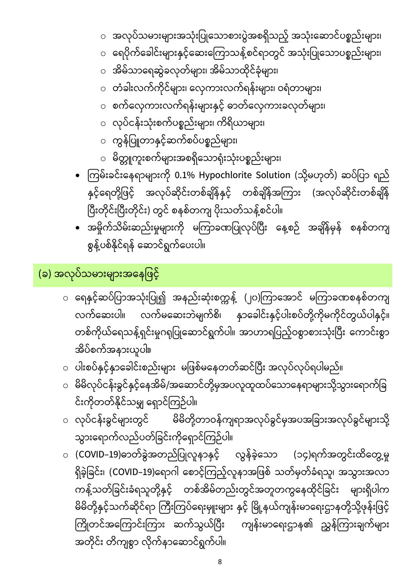- (COVID−19)ဓာတ်ခွဲအတည်ပြုလူနာနှင့် လွန်ခဲ့သော (၁၄)ရက်အတွင်းထိတွေ့မှု ရှိခဲ့ခြင်း၊ (COVID–19)ရောဂါ စောင့်ကြည့်လူနာအဖြစ် သတ်မှတ်ခံရသူ၊ အသွားအလာ ကန့်သတ်ခြင်းခံရသူတို့နှင့် တစ်အိမ်တည်းတွင်အတူတကွနေထိုင်ခြင်း များရှိပါက မိမိတို့နှင့်သက်ဆိုင်ရာ ကြီးကြပ်ရေးမှူးများ နှင့် မြို့နယ်ကျန်းမာရေးဌာနတို့သို့ဖုန်းဖြင့် ကြိုတင်အကြောင်းကြား ဆက်သွယ်ပြီး ကျန်းမာရေးဌာန၏ ညွှန်ကြားချက်များ အတိုင်း တိကျစွာ လိုက်နာဆောင်ရွက်ပါ။
- လုပ်ငန်းခွင်များတွင် မိမိတို့တာဝန်ကျရာအလုပ်ခွင်မှအပအခြားအလုပ်ခွင်များသို့ သွားရောက်လည်ပတ်ခြင်းကိုရှောင်ကြဉ်ပါ။
- ပါးစပ်နှင့်နှာခေါင်းစည်းများ မဖြစ်မနေတတ်ဆင်ပြီး အလုပ်လုပ်ရပါမည်။ ○ မိမိလုပ်ငန်းခွင်နှင့်နေအိမ်/အဆောင်တို့မှအပလူထူထပ်သောနေရာများသို့သွားရောက်ခြ င်းကိုတတ်နိုင်သမျှ ရှောင်ကြဉ်ပါ။
- ရေနှင့်ဆပ်ပြာအသုံးပြု၍ အနည်းဆုံးစက္ကန့် (၂၀)ကြာအောင် မကြာခဏစနစ်တကျ လက်ဆေးပါ။ လက်မဆေးဘဲမျက်စိ၊ နှာခေါင်းနှင့်ပါးစပ်တို့ကိုမကိုင်တွယ်ပါနှင့်။ တစ်ကိုယ်ရေသန့်ရှင်းမှုဂရုပြုဆောင်ရွက်ပါ။ အာဟာရပြည့်ဝစွာစားသုံးပြီး ကောင်းစွာ အိပ်စက်အနားယူပါ။

(ခ) အလုပ်သမားများအနေဖြင့်

စွန့်ပစ်နိုင်ရန် ဆောင်ရွက်ပေးပါ။

- နှင့်ရေတို့ဖြင့် အလုပ်ဆိုင်းတစ်ချိန်နှင့် တစ်ချိန်အကြား (အလုပ်ဆိုင်းတစ်ချိန် ပြီးတိုင်းပြီးတိုင်း) တွင် စနစ်တကျ ပိုးသတ်သန့်စင်ပါ။ • အမှိုက်သိမ်းဆည်းမှုများကို မကြာခဏပြုလုပ်ပြီး နေ့စဉ် အချိန်မှန် စနစ်တကျ
- ကြမ်းခင်းနေရာများကို 0.1% Hypochlorite Solution (သို့မဟုတ်) ဆပ်ပြာ ရည်
- မိတ္တူကူးစက်များအစရှိသောရုံးသုံးပစ္စည်းများ၊
- ကွန်ပြူတာနှင့်ဆက်စပ်ပစ္စည်များ၊
- လုပ်ငန်းသုံးစက်ပစ္စည်းများ၊ ကိရိယာများ၊
- ၀ စက်လှေကားလက်ရန်းများနှင့် ဓာတ်လှေကားခလုတ်များ၊
- ၀ တံခါးလက်ကိုင်များ၊ လှေကားလက်ရန်းများ၊ ဝရံတာများ၊
- အိမ်သာရေဆွဲခလုတ်များ၊ အိမ်သာထိုင်ခုံများ၊
- ရေပိုက်ခေါင်းများနှင့်ဆေးကြောသန့်စင်ရာတွင် အသုံးပြုသောပစ္စည်းများ၊
- အလုပ်သမားများအသုံးပြုသောစားပွဲအစရှိသည့် အသုံးဆောင်ပစ္စည်းများ၊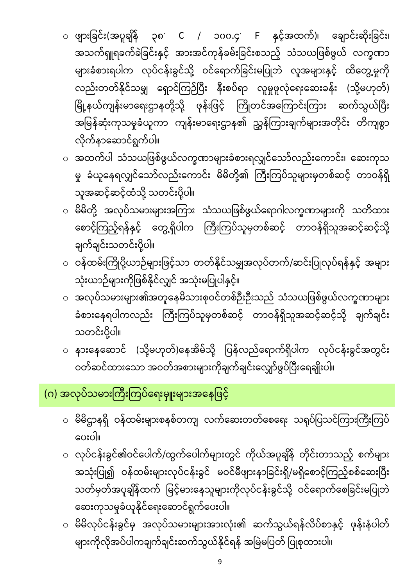- ဆေးကုသမှုခံယူနိုင်ရေးဆောင်ရွက်ပေးပါ။ <sub>ဝ</sub> မိမိလုပ်ငန်းခွင်မှ အလုပ်သမားများအားလုံး၏ ဆက်သွယ်ရန်လိပ်စာနှင့် ဖုန်းနံပါတ် များကိုလိုအပ်ပါကချက်ချင်းဆက်သွယ်နိုင်ရန် အမြဲမပြတ် ပြုစုထားပါ။
- လုပ်ငန်းခွင်၏ဝင်ပေါက်/ထွက်ပေါက်များတွင် ကိုယ်အပူချိန် တိုင်းတာသည့် စက်များ အသုံးပြု၍ ဝန်ထမ်းများလုပ်ငန်းခွင် မဝင်မီဖျားနာခြင်းရှိ/မရှိစောင့်ကြည့်စစ်ဆေးပြီး သတ်မှတ်အပူချိန်ထက် မြင့်မားနေသူများကိုလုပ်ငန်းခွင်သို့ ဝင်ရောက်စေခြင်းမပြုဘဲ
- မိမိဌာနရှိ ဝန်ထမ်းများစနစ်တကျ လက်ဆေးတတ်စေရေး သရုပ်ပြသင်ကြားကြီးကြပ် ပေးပါ။

## (ဂ) အလုပ်သမားကြီးကြပ်ရေးမှူးများအနေဖြင့်

- ၀ နားနေဆောင် (သို့မဟုတ်)နေအိမ်သို့ ပြန်လည်ရောက်ရှိပါက လုပ်ငန်းခွင်အတွင်း ဝတ်ဆင်ထားသော အဝတ်အစားများကိုချက်ချင်းလျှော်ဖွပ်ပြီးရေချိုးပါ။
- o အလုပ်သမားများ၏အတူေနမိသားစုဝင်တစ်ဉီးဉီးသည် သံသယြဖစ်ဖွယ်လက္ခဏာများ ခံစားနေရပါကလည်း ကြီးကြပ်သူမှတစ်ဆင့် တာဝန်ရှိသူအဆင့်ဆင့်သို့ ချက်ချင်း သတင်းပို့ပါ။
- ဝန်ထမ်းကြိုပို့ယာဉ်များဖြင့်သာ တတ်နိုင်သမျှအလုပ်တက်/ဆင်းပြုလုပ်ရန်နှင့် အများ သုံးယာဉ်များကိုဖြစ်နိုင်လျှင် အသုံးမပြုပါနှင့်။
- မိမိတို့ အလုပ်သမားများအကြား သံသယဖြစ်ဖွယ်ရောဂါလက္ခဏာများကို သတိထား စောင့်ကြည့်ရန်နှင့် တွေ့ရှိပါက ကြီးကြပ်သူမှတစ်ဆင့် တာဝန်ရှိသူအဆင့်ဆင့်သို့ ချက်ချင်းသတင်းပို့ပါ။
- လိုက်နာဆောင်ရွက်ပါ။ ○ အထက်ပါ သံသယဖြစ်ဖွယ်လက္ခဏာများခံစားရလျှင်သော်လည်းကောင်း၊ ဆေးကုသ မှု ခံယူနေရလျှင်သော်လည်းကောင်း မိမိတို့၏ ကြီးကြပ်သူများမှတစ်ဆင့် တာဝန်ရှိ သူအဆင့်ဆင့်ထံသို့ သတင်းပို့ပါ။
- $\circ$  ဖျားခြင်း(အပူချိန် ၃၈ C / ၁၀၀.၄ F နှင့်အထက်)၊ ချောင်းဆိုးခြင်း၊ အသက်ရှူရခက်ခဲခြင်းနှင့် အားအင်ကုန်ခမ်းခြင်းစသည့် သံသယဖြစ်ဖွယ် လက္ခဏာ များခံစားရပါက လုပ်ငန်းခွင်သို့ ဝင်ရောက်ခြင်းမပြုဘဲ လူအများနှင့် ထိတွေ့မှုကို လည်းတတ်နိုင်သမျှ ရှောင်ကြဉ်ပြီး နီးစပ်ရာ လူမှုဖူလုံရေးဆေးခန်း (သို့မဟုတ်) မြို့နယ်ကျန်းမာရေးဌာနတို့သို့ ဖုန်းဖြင့် ကြိုတင်အကြောင်းကြား ဆက်သွယ်ပြီး l အမြန်ဆုံးကုသမှုခံယူကာ ကျန်းမာရေးဌာန၏ ညွှန်ကြားချက်များအတိုင်း တိကျစွာ

9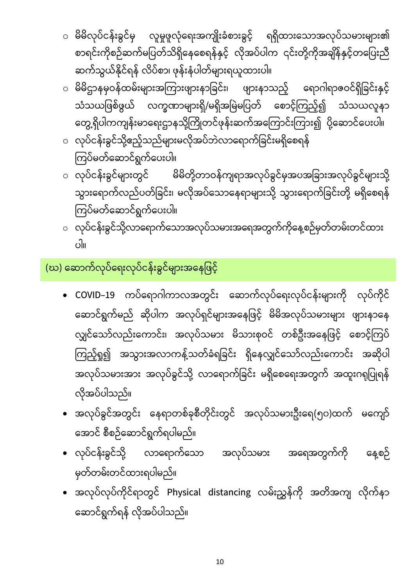- မိမိလုပ်ငန်းခွင်မှ လူမှုဖူလုံရေးအကျိုးခံစားခွင့် ရရှိထားသောအလုပ်သမားများ၏ စာရင်းကိုစဉ်ဆက်မပြတ်သိရှိနေစေရန်နှင့် လိုအပ်ပါက ၎င်းတို့ကိုအချိန်နှင့်တပြေးညီ ဆက်သွယ်နိုင်ရန် လိပ်စာ၊ ဖုန်းနံပါတ်များရယူထားပါ။
- မိမိဌာနမှဝန်ထမ်းများအကြားဖျားနာခြင်း၊ ဖျားနာသည့် ရောဂါရာဇဝင်ရှိခြင်းနှင့် သံသယဖြစ်ဖွယ် လက္ခဏာများရှိ/မရှိအမြဲမပြတ် စောင့်ကြည့်၍ သံသယလူနာ တွေ့ရှိပါကကျန်းမာရေးဌာနသို့ကြိုတင်ဖုန်းဆက်အကြောင်းကြား၍ ပို့ဆောင်ပေးပါ။
- လုပ်ငန်းခွင်သို့ဧည့်သည်များမလိုအပ်ဘဲလာရောက်ခြင်းမရှိစေရန် ကြပ်မတ်ဆောင်ရွက်ပေးပါ။
- မိမိတို့တာဝန်ကျရာအလုပ်ခွင်မှအပအခြားအလုပ်ခွင်များသို့ ၀ လုပ်ငန်းခွင်များတွင် သွားရောက်လည်ပတ်ခြင်း၊ မလိုအပ်သောနေရာများသို့ သွားရောက်ခြင်းတို့ မရှိစေရန် ကြပ်မတ်ဆောင်ရွက်ပေးပါ။
- လုပ်ငန်းခွင်သို့လာရောက်သောအလုပ်သမားအရေအတွက်ကိုနေ့စဉ်မှတ်တမ်းတင်ထား ။

## (ဃ) ေဆာက်လုပ်ေရးလုပ်ငန်းခွင်များအေနြဖင့်

- COVID–19 ကပ်ရောဂါကာလအတွင်း ဆောက်လုပ်ရေးလုပ်ငန်းများကို လုပ်ကိုင် ဆောင်ရွက်မည် ဆိုပါက အလုပ်ရှင်များအနေဖြင့် မိမိအလုပ်သမားများ ဖျားနာနေ လျှင်သော်လည်းကောင်း၊ အလုပ်သမား မိသားစုဝင် တစ်ဦးအနေဖြင့် စောင့်ကြပ် ကြည့်ရှု၍ အသွားအလာကန့်သတ်ခံရခြင်း ရှိနေလျှင်သော်လည်းကောင်း အဆိုပါ အလုပ်သမားအား အလုပ်ခွင်သို့ လာရောက်ခြင်း မရှိစေရေးအတွက် အထူးဂရုပြုရန် လိုအပ်ပါသည်။
- အလုပ်ခွင်အတွင်း နေရာတစ်ခုစီတိုင်းတွင် အလုပ်သမားဦးရေ(၅၀)ထက် မကျော် အောင် စီစဉ်ဆောင်ရွက်ရပါမည်။
- လုပ်ငန်းခွင်သို့ လာရောက်သော အလုပ်သမား အရေအတွက်ကို နေ့စဉ် မှတ်တမ်းတင်ထားရပါမည်။
- အလုပ်လုပ်ကိုင်ရာတွင် Physical distancing လမ်းညွှန်ကို အတိအကျ လိုက်နာ ဆောင်ရွက်ရန် လိုအပ်ပါသည်။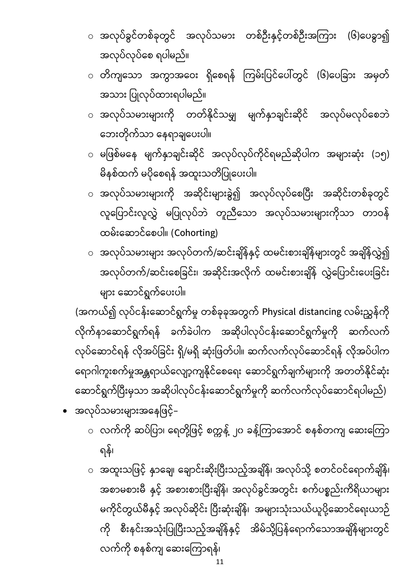- အထူးသဖြင့် နှာချေ၊ ချောင်းဆိုးပြီးသည့်အချိန်၊ အလုပ်သို့ စတင်ဝင်ရောက်ချိန်၊ အစာမစားမီ နှင့် အစားစားပြီးချိန်၊ အလုပ်ခွင်အတွင်း စက်ပစ္စည်းကိရိယာများ မကိုင်တွယ်မီနှင့် အလုပ်ဆိုင်း ပြီးဆုံးချိန်၊ အများသုံးသယ်ယူပို့ဆောင်ရေးယာဉ် ကို စီးနင်းအသုံးပြုပြီးသည့်အချိန်နှင့် အိမ်သို့ပြန်ရောက်သောအချိန်များတွင် လက်ကို စနစ်ကျ ဆေးကြောရန်၊
- $\,\circ\,$  လက်ကို ဆပ်ပြာ၊ ရေတို့ဖြင့် စက္ကန့် ၂၀ ခန့်ကြာအောင် စနစ်တကျ ဆေးကြော ရန်၊
- အလုပ်သမားများအနေဖြင့်–

(အကယ်၍ လုပ်ငန်းဆောင်ရွက်မှု တစ်ခုခုအတွက် Physical distancing လမ်းညွှန်ကို လိုက်နာဆောင်ရွက်ရန် ခက်ခဲပါက အဆိုပါလုပ်ငန်းဆောင်ရွက်မှုကို ဆက်လက် လုပ်ဆောင်ရန် လိုအပ်ခြင်း ရှိ/မရှိ ဆုံးဖြတ်ပါ။ ဆက်လက်လုပ်ဆောင်ရန် လိုအပ်ပါက ရောဂါကူးစက်မှုအန္တရာယ်လျော့ကျနိုင်စေရေး ဆောင်ရွက်ချက်များကို အတတ်နိုင်ဆုံး ဆောင်ရွက်ပြီးမှသာ အဆိုပါလုပ်ငန်းဆောင်ရွက်မှုကို ဆက်လက်လုပ်ဆောင်ရပါမည်)

- ◌ အလုပ်သမားများ အလုပ်တက်/ဆင်းချိန်နှင့် ထမင်းစားချိန်များတွင် အချိန်လွှဲ၍ အလုပ်တက်/ဆင်းစေခြင်း၊ အဆိုင်းအလိုက် ထမင်းစားချိန် လွှဲပြောင်းပေးခြင်း များ ဆောင်ရွက်ပေးပါ။
- မိနစ်ထက် မပိုစေရန် အထူးသတိပြုပေးပါ။ ○ အလုပ်သမားများကို အဆိုင်းများခွဲ၍ အလုပ်လုပ်စေပြီး အဆိုင်းတစ်ခုတွင် လူပြောင်းလူလွှဲ မပြုလုပ်ဘဲ တူညီသော အလုပ်သမားများကိုသာ တာဝန် ထမ်းဆောင်စေပါ။ (Cohorting)
- ဘေးတိုက်သာ နေရာချပေးပါ။ ○ မဖြစ်မနေ မျက်နှာချင်းဆိုင် အလုပ်လုပ်ကိုင်ရမည်ဆိုပါက အများဆုံး (၁၅)
- အသား ပြုလုပ်ထားရပါမည်။ ○ အလုပ်သမားများကို တတ်နိုင်သမျှ မျက်နှာချင်းဆိုင် အလုပ်မလုပ်စေဘဲ
- အလုပ်လုပ်စေ ရပါမည်။  $\,\circ\,$  တိကျသော အကွာအဝေး ရှိစေရန် ကြမ်းပြင်ပေါ်တွင် (၆)ပေခြား အမှတ်
- အလုပ်ခွင်တစ်ခုတွင် အလုပ်သမား တစ်ဦးနှင့်တစ်ဦးအကြား (၆)ပေခွာ၍